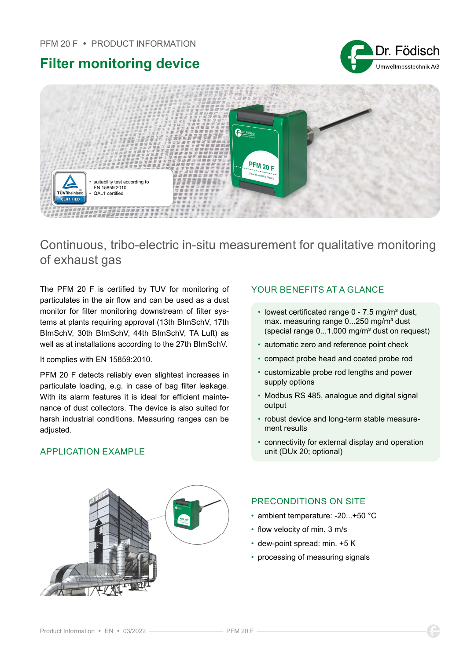# Filter monitoring device





Continuous, tribo-electric in-situ measurement for qualitative monitoring of exhaust gas

The PFM 20 F is certified by TUV for monitoring of particulates in the air flow and can be used as a dust monitor for filter monitoring downstream of filter systems at plants requiring approval (13th BImSchV, 17th BImSchV, 30th BImSchV, 44th BImSchV, TA Luft) as well as at installations according to the 27th BImSchV.

It complies with EN 15859:2010.

PFM 20 F detects reliably even slightest increases in particulate loading, e.g. in case of bag filter leakage. With its alarm features it is ideal for efficient maintenance of dust collectors. The device is also suited for harsh industrial conditions. Measuring ranges can be adiusted.

## APPLICATION FXAMPLE

## YOUR BENEFITS AT A GLANCE

- lowest certificated range  $0 7.5$  mg/m<sup>3</sup> dust, max. measuring range 0...250 mg/m<sup>3</sup> dust (special range  $0...1,000$  mg/m<sup>3</sup> dust on request)
- automatic zero and reference point check
- compact probe head and coated probe rod
- customizable probe rod lengths and power supply options
- Modbus RS 485, analogue and digital signal output
- robust device and long-term stable measurement results
- connectivity for external display and operation unit (DUx 20; optional)



## PRECONDITIONS ON SITE

- ambient temperature: -20...+50 °C
- flow velocity of min. 3 m/s
- dew-point spread: min. +5 K
- processing of measuring signals